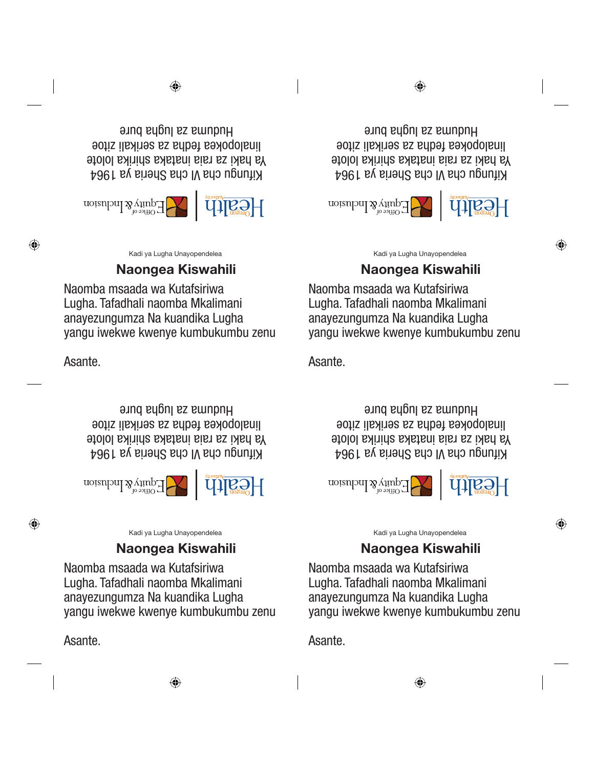Kadi ya Lugha Unayopendelea

# Naongea Kiswahili

Kadi ya Lugha Unayopendelea

Naongea Kiswahili

yangu iwekwe kwenye kumbukumbu zenu

Preferred Language Card Layout v1.indd 3 8/25/2014 1:22:36 PM linalopokea fedha za serikali zitoe

Huduma za lugha bure

Kifungu cha VI cha Sheria ya 1964 Ya haki za raia inataka shirika lolote

 $\left\lceil \left( \bigcup_{\text{trivial}} \bigcup_{\text{trivial}} \bigcup_{\text{trivial}} \bigcup_{\text{trivial}} \bigcap_{\text{trivial}} \bigcap_{\text{trivial}} \bigcap_{\text{trivial}} \bigcap_{\text{trivial}} \bigcap_{\text{trivial}} \bigcap_{\text{trivial}} \bigcap_{\text{trivial}} \bigcap_{\text{trivial}} \bigcap_{\text{trivial}} \bigcap_{\text{trivial}} \bigcap_{\text{trivial}} \bigcap_{\text{trivial}} \bigcap_{\text{trivial}} \bigcap_{\text{trivial}} \bigcap_{\text{trivial}} \bigcap_{\text{trivial}} \bigcap_{\text{trivial}} \big$ 

Naomba msaada wa Kutafsiriwa Lugha. Tafadhali naomba Mkalimani anayezungumza Na kuandika Lugha

Kifungu cha VI cha Sheria ya 1964 Ya haki za raia inataka shirika lolote linalopokea fedha za serikali zitoe Huduma za lugha bure

Research [1]

◈

Naomba msaada wa Kutafsiriwa Lugha. Tafadhali naomba Mkalimani anayezungumza Na kuandika Lugha yangu iwekwe kwenye kumbukumbu zenu Kadi ya Lugha Unayopendelea

# Naongea Kiswahili

Naomba msaada wa Kutafsiriwa Lugha. Tafadhali naomba Mkalimani anayezungumza Na kuandika Lugha yangu iwekwe kwenye kumbukumbu zenu

 $\bigoplus$ 

 $\left\lceil \left( \bigcup_{\text{trivial}} \bigcup_{\text{trivial}} \bigcup_{\text{trivial}} \bigcup_{\text{trivial}} \bigcap_{\text{trivial}} \bigcap_{\text{trivial}} \bigcap_{\text{trivial}} \bigcap_{\text{trivial}} \bigcap_{\text{trivial}} \bigcap_{\text{trivial}} \bigcap_{\text{trivial}} \bigcap_{\text{trivial}} \bigcap_{\text{trivial}} \bigcap_{\text{trivial}} \bigcap_{\text{trivial}} \bigcap_{\text{trivial}} \bigcap_{\text{trivial}} \bigcap_{\text{trivial}} \bigcap_{\text{trivial}} \bigcap_{\text{trivial}} \bigcap_{\text{trivial}} \big$ 

Preferred Language Card Layout v1.indd 3 8/25/2014 1:22:36 PM linalopokea fedha za serikali zitoe Kifungu cha VI cha Sheria ya 1964 Ya haki za raia inataka shirika lolote Huduma za lugha bure

Asante.

Asante.

Naomba msaada wa Kutafsiriwa Lugha. Tafadhali naomba Mkalimani anayezungumza Na kuandika Lugha yangu iwekwe kwenye kumbukumbu zenu

## Naongea Kiswahili

Kadi ya Lugha Unayopendelea

⊕

⊕

Kifungu cha VI cha Sheria ya 1964 Ya haki za raia inataka shirika lolote linalopokea fedha za serikali zitoe Huduma za lugha bure

Research [1]

⊕

Asante.

Asante.